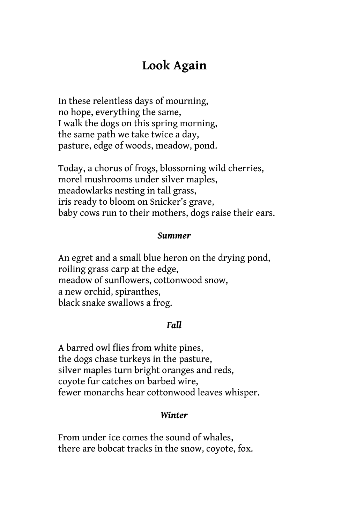## **Look Again**

In these relentless days of mourning, no hope, everything the same, I walk the dogs on this spring morning, the same path we take twice a day, pasture, edge of woods, meadow, pond.

Today, a chorus of frogs, blossoming wild cherries, morel mushrooms under silver maples, meadowlarks nesting in tall grass, iris ready to bloom on Snicker's grave, baby cows run to their mothers, dogs raise their ears.

## *Summer*

An egret and a small blue heron on the drying pond, roiling grass carp at the edge, meadow of sunflowers, cottonwood snow, a new orchid, spiranthes, black snake swallows a frog.

## *Fall*

A barred owl flies from white pines, the dogs chase turkeys in the pasture, silver maples turn bright oranges and reds, coyote fur catches on barbed wire, fewer monarchs hear cottonwood leaves whisper.

## *Winter*

From under ice comes the sound of whales, there are bobcat tracks in the snow, coyote, fox.